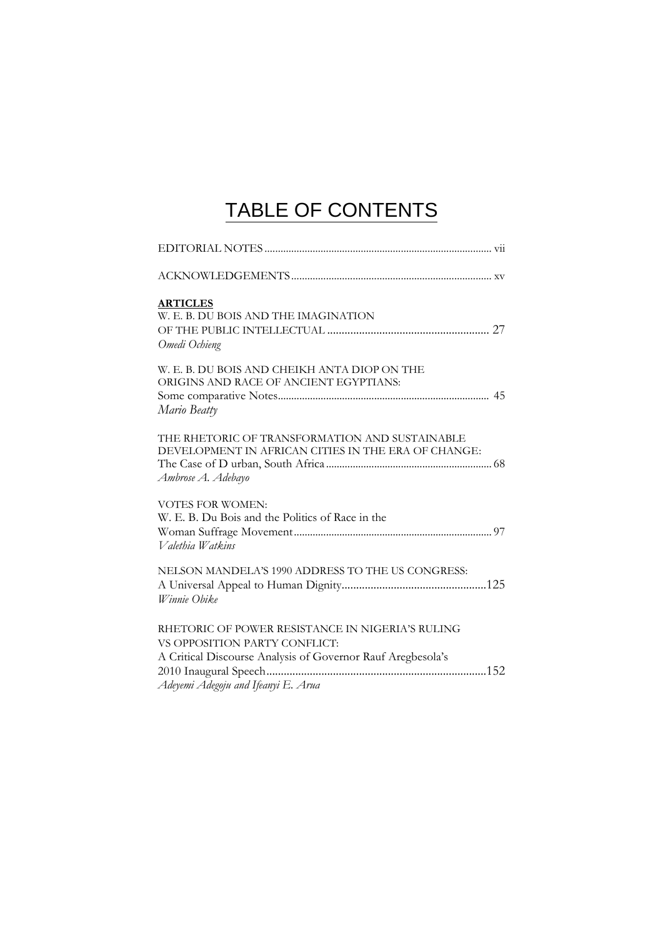## TABLE OF CONTENTS

| <b>ARTICLES</b><br>W. E. B. DU BOIS AND THE IMAGINATION<br>Omedi Ochieng                                                                                                                |
|-----------------------------------------------------------------------------------------------------------------------------------------------------------------------------------------|
| W. E. B. DU BOIS AND CHEIKH ANTA DIOP ON THE<br>ORIGINS AND RACE OF ANCIENT EGYPTIANS:<br>Mario Beatty                                                                                  |
| THE RHETORIC OF TRANSFORMATION AND SUSTAINABLE<br>DEVELOPMENT IN AFRICAN CITIES IN THE ERA OF CHANGE:<br>Ambrose A. Adebayo                                                             |
| <b>VOTES FOR WOMEN:</b><br>W. E. B. Du Bois and the Politics of Race in the<br>Valethia Watkins                                                                                         |
| NELSON MANDELA'S 1990 ADDRESS TO THE US CONGRESS:<br>Winnie Obike                                                                                                                       |
| RHETORIC OF POWER RESISTANCE IN NIGERIA'S RULING<br>VS OPPOSITION PARTY CONFLICT:<br>A Critical Discourse Analysis of Governor Rauf Aregbesola's<br>Adeyemi Adegoju and Ifeanyi E. Arua |